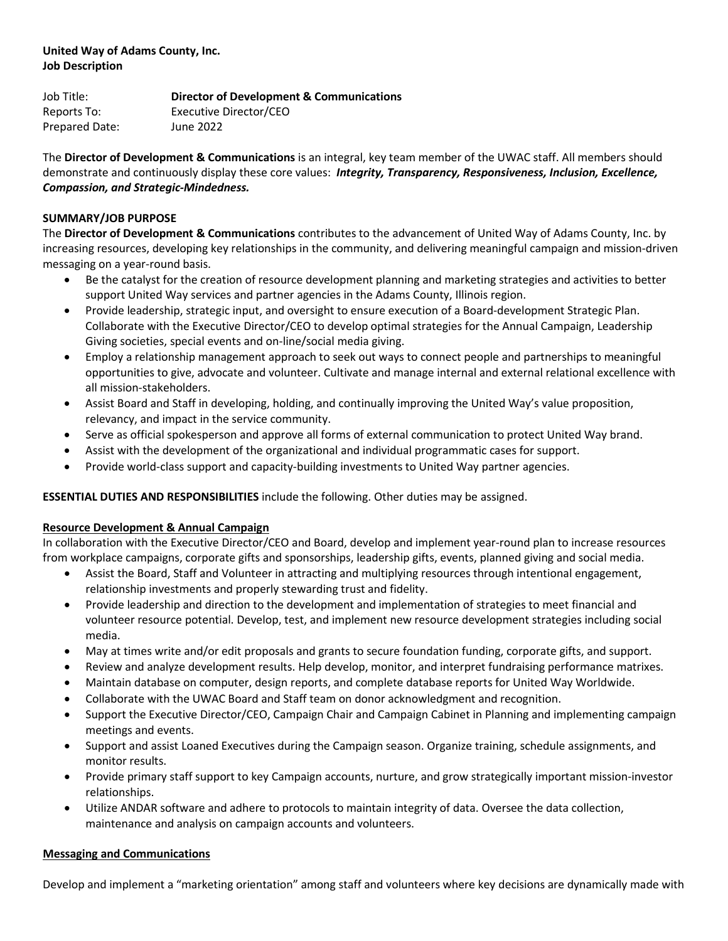# **United Way of Adams County, Inc. Job Description**

Job Title: **Director of Development & Communications** Reports To: Executive Director/CEO Prepared Date: June 2022

The **Director of Development & Communications** is an integral, key team member of the UWAC staff. All members should demonstrate and continuously display these core values: *Integrity, Transparency, Responsiveness, Inclusion, Excellence, Compassion, and Strategic-Mindedness.* 

### **SUMMARY/JOB PURPOSE**

The **Director of Development & Communications** contributes to the advancement of United Way of Adams County, Inc. by increasing resources, developing key relationships in the community, and delivering meaningful campaign and mission-driven messaging on a year-round basis.

- Be the catalyst for the creation of resource development planning and marketing strategies and activities to better support United Way services and partner agencies in the Adams County, Illinois region.
- Provide leadership, strategic input, and oversight to ensure execution of a Board-development Strategic Plan. Collaborate with the Executive Director/CEO to develop optimal strategies for the Annual Campaign, Leadership Giving societies, special events and on-line/social media giving.
- Employ a relationship management approach to seek out ways to connect people and partnerships to meaningful opportunities to give, advocate and volunteer. Cultivate and manage internal and external relational excellence with all mission-stakeholders.
- Assist Board and Staff in developing, holding, and continually improving the United Way's value proposition, relevancy, and impact in the service community.
- Serve as official spokesperson and approve all forms of external communication to protect United Way brand.
- Assist with the development of the organizational and individual programmatic cases for support.
- Provide world-class support and capacity-building investments to United Way partner agencies.

### **ESSENTIAL DUTIES AND RESPONSIBILITIES** include the following. Other duties may be assigned.

### **Resource Development & Annual Campaign**

In collaboration with the Executive Director/CEO and Board, develop and implement year-round plan to increase resources from workplace campaigns, corporate gifts and sponsorships, leadership gifts, events, planned giving and social media.

- Assist the Board, Staff and Volunteer in attracting and multiplying resources through intentional engagement, relationship investments and properly stewarding trust and fidelity.
- Provide leadership and direction to the development and implementation of strategies to meet financial and volunteer resource potential. Develop, test, and implement new resource development strategies including social media.
- May at times write and/or edit proposals and grants to secure foundation funding, corporate gifts, and support.
- Review and analyze development results. Help develop, monitor, and interpret fundraising performance matrixes.
- Maintain database on computer, design reports, and complete database reports for United Way Worldwide.
- Collaborate with the UWAC Board and Staff team on donor acknowledgment and recognition.
- Support the Executive Director/CEO, Campaign Chair and Campaign Cabinet in Planning and implementing campaign meetings and events.
- Support and assist Loaned Executives during the Campaign season. Organize training, schedule assignments, and monitor results.
- Provide primary staff support to key Campaign accounts, nurture, and grow strategically important mission-investor relationships.
- Utilize ANDAR software and adhere to protocols to maintain integrity of data. Oversee the data collection, maintenance and analysis on campaign accounts and volunteers.

#### **Messaging and Communications**

Develop and implement a "marketing orientation" among staff and volunteers where key decisions are dynamically made with